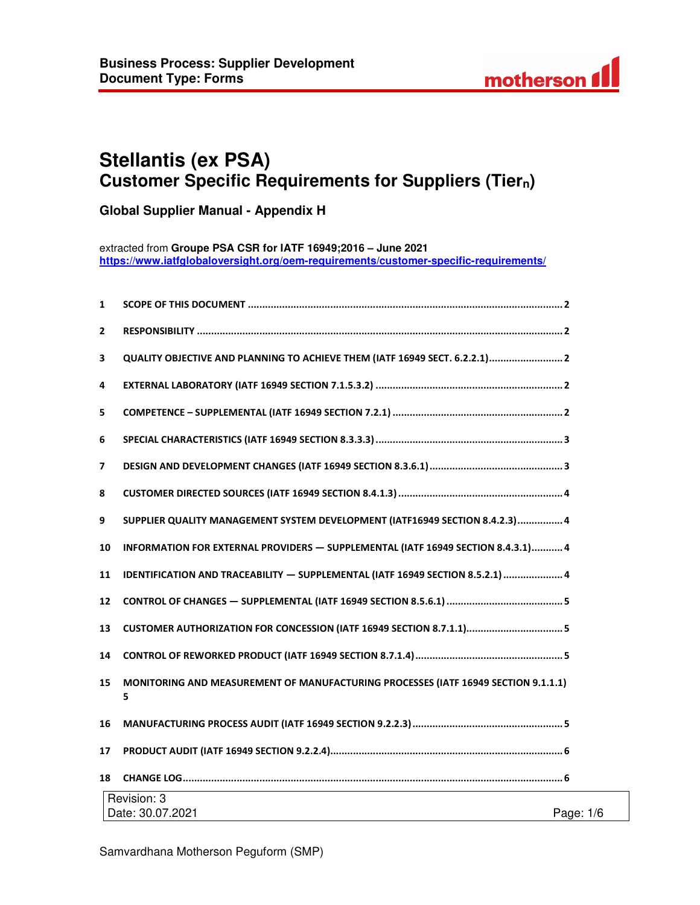

# **Stellantis (ex PSA) Customer Specific Requirements for Suppliers (Tiern)**

**Global Supplier Manual - Appendix H** 

extracted from **Groupe PSA CSR for IATF 16949;2016 – June 2021 https://www.iatfglobaloversight.org/oem-requirements/customer-specific-requirements/**

| $\mathbf{1}$                  |                                                                                          |  |  |
|-------------------------------|------------------------------------------------------------------------------------------|--|--|
| $\overline{2}$                |                                                                                          |  |  |
| 3                             | QUALITY OBJECTIVE AND PLANNING TO ACHIEVE THEM (IATF 16949 SECT. 6.2.2.1) 2              |  |  |
| 4                             |                                                                                          |  |  |
| 5                             |                                                                                          |  |  |
| 6                             |                                                                                          |  |  |
| $\overline{ }$                |                                                                                          |  |  |
| 8                             |                                                                                          |  |  |
| 9                             | SUPPLIER QUALITY MANAGEMENT SYSTEM DEVELOPMENT (IATF16949 SECTION 8.4.2.3)  4            |  |  |
| 10                            | INFORMATION FOR EXTERNAL PROVIDERS - SUPPLEMENTAL (IATF 16949 SECTION 8.4.3.1) 4         |  |  |
| 11                            | IDENTIFICATION AND TRACEABILITY - SUPPLEMENTAL (IATF 16949 SECTION 8.5.2.1)  4           |  |  |
| 12                            |                                                                                          |  |  |
| 13                            |                                                                                          |  |  |
| 14                            |                                                                                          |  |  |
| 15                            | MONITORING AND MEASUREMENT OF MANUFACTURING PROCESSES (IATF 16949 SECTION 9.1.1.1)<br>5. |  |  |
| 16                            |                                                                                          |  |  |
| 17                            |                                                                                          |  |  |
| 18                            |                                                                                          |  |  |
| Revision: 3                   |                                                                                          |  |  |
| Date: 30.07.2021<br>Page: 1/6 |                                                                                          |  |  |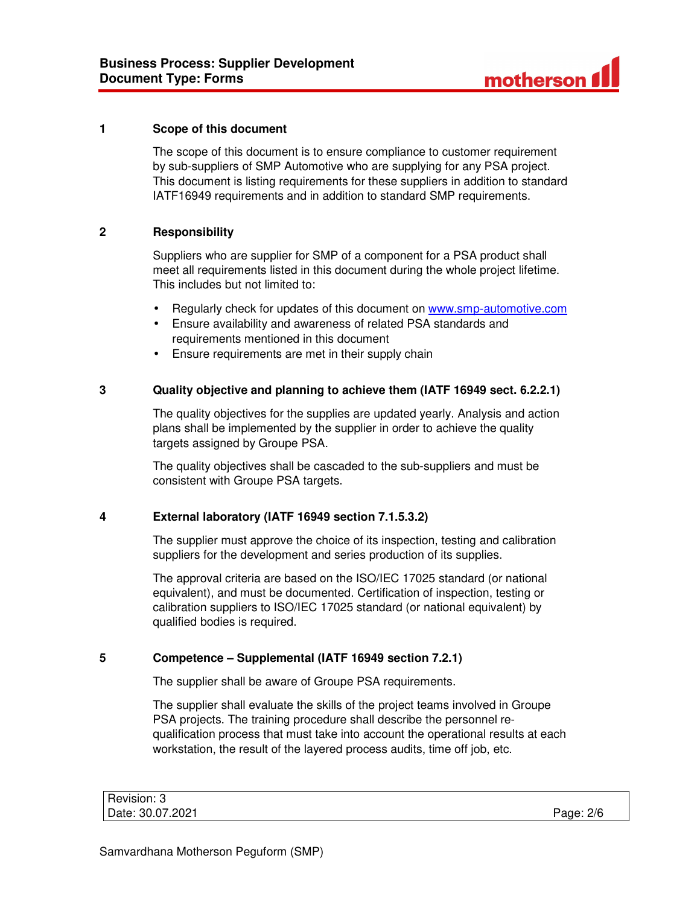

#### **1 Scope of this document**

The scope of this document is to ensure compliance to customer requirement by sub-suppliers of SMP Automotive who are supplying for any PSA project. This document is listing requirements for these suppliers in addition to standard IATF16949 requirements and in addition to standard SMP requirements.

## **2 Responsibility**

Suppliers who are supplier for SMP of a component for a PSA product shall meet all requirements listed in this document during the whole project lifetime. This includes but not limited to:

- Regularly check for updates of this document on www.smp-automotive.com
- Ensure availability and awareness of related PSA standards and requirements mentioned in this document
- Ensure requirements are met in their supply chain

## **3 Quality objective and planning to achieve them (IATF 16949 sect. 6.2.2.1)**

The quality objectives for the supplies are updated yearly. Analysis and action plans shall be implemented by the supplier in order to achieve the quality targets assigned by Groupe PSA.

The quality objectives shall be cascaded to the sub-suppliers and must be consistent with Groupe PSA targets.

## **4 External laboratory (IATF 16949 section 7.1.5.3.2)**

The supplier must approve the choice of its inspection, testing and calibration suppliers for the development and series production of its supplies.

The approval criteria are based on the ISO/IEC 17025 standard (or national equivalent), and must be documented. Certification of inspection, testing or calibration suppliers to ISO/IEC 17025 standard (or national equivalent) by qualified bodies is required.

## **5 Competence – Supplemental (IATF 16949 section 7.2.1)**

The supplier shall be aware of Groupe PSA requirements.

The supplier shall evaluate the skills of the project teams involved in Groupe PSA projects. The training procedure shall describe the personnel requalification process that must take into account the operational results at each workstation, the result of the layered process audits, time off job, etc.

| Revision: 3      |           |
|------------------|-----------|
| Date: 30.07.2021 | Page: 2/6 |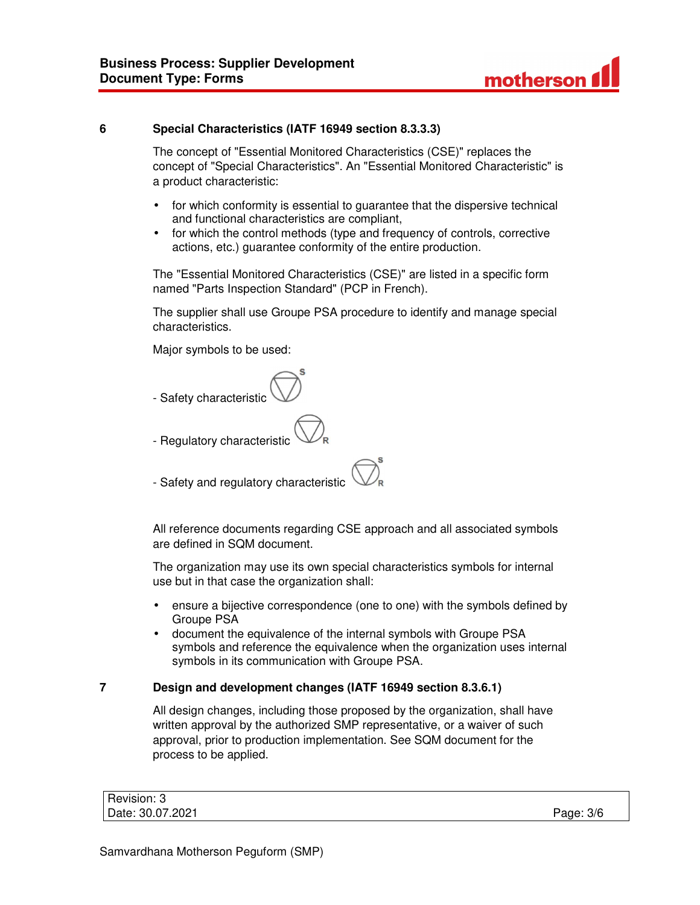

#### **6 Special Characteristics (IATF 16949 section 8.3.3.3)**

The concept of "Essential Monitored Characteristics (CSE)" replaces the concept of "Special Characteristics". An "Essential Monitored Characteristic" is a product characteristic:

- for which conformity is essential to guarantee that the dispersive technical and functional characteristics are compliant,
- for which the control methods (type and frequency of controls, corrective actions, etc.) guarantee conformity of the entire production.

The "Essential Monitored Characteristics (CSE)" are listed in a specific form named "Parts Inspection Standard" (PCP in French).

The supplier shall use Groupe PSA procedure to identify and manage special characteristics.

Major symbols to be used:

- Safety characteristic
- Regulatory characteristic
- Safety and regulatory characteristic

All reference documents regarding CSE approach and all associated symbols are defined in SQM document.

The organization may use its own special characteristics symbols for internal use but in that case the organization shall:

- ensure a bijective correspondence (one to one) with the symbols defined by Groupe PSA
- document the equivalence of the internal symbols with Groupe PSA symbols and reference the equivalence when the organization uses internal symbols in its communication with Groupe PSA.

# **7 Design and development changes (IATF 16949 section 8.3.6.1)**

All design changes, including those proposed by the organization, shall have written approval by the authorized SMP representative, or a waiver of such approval, prior to production implementation. See SQM document for the process to be applied.

| Revision: 3      |           |
|------------------|-----------|
| Date: 30.07.2021 | Page: 3/6 |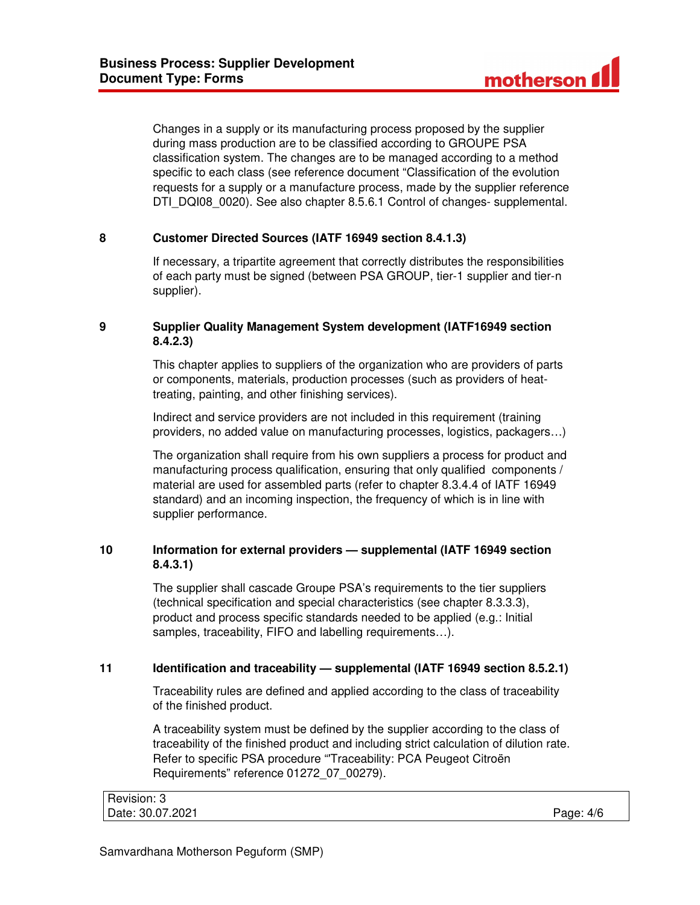Changes in a supply or its manufacturing process proposed by the supplier during mass production are to be classified according to GROUPE PSA classification system. The changes are to be managed according to a method specific to each class (see reference document "Classification of the evolution requests for a supply or a manufacture process, made by the supplier reference DTI\_DQI08\_0020). See also chapter 8.5.6.1 Control of changes- supplemental.

# **8 Customer Directed Sources (IATF 16949 section 8.4.1.3)**

If necessary, a tripartite agreement that correctly distributes the responsibilities of each party must be signed (between PSA GROUP, tier-1 supplier and tier-n supplier).

# **9 Supplier Quality Management System development (IATF16949 section 8.4.2.3)**

This chapter applies to suppliers of the organization who are providers of parts or components, materials, production processes (such as providers of heattreating, painting, and other finishing services).

Indirect and service providers are not included in this requirement (training providers, no added value on manufacturing processes, logistics, packagers…)

The organization shall require from his own suppliers a process for product and manufacturing process qualification, ensuring that only qualified components / material are used for assembled parts (refer to chapter 8.3.4.4 of IATF 16949 standard) and an incoming inspection, the frequency of which is in line with supplier performance.

# **10 Information for external providers — supplemental (IATF 16949 section 8.4.3.1)**

The supplier shall cascade Groupe PSA's requirements to the tier suppliers (technical specification and special characteristics (see chapter 8.3.3.3), product and process specific standards needed to be applied (e.g.: Initial samples, traceability, FIFO and labelling requirements…).

## **11 Identification and traceability — supplemental (IATF 16949 section 8.5.2.1)**

Traceability rules are defined and applied according to the class of traceability of the finished product.

A traceability system must be defined by the supplier according to the class of traceability of the finished product and including strict calculation of dilution rate. Refer to specific PSA procedure "'Traceability: PCA Peugeot Citroën Requirements" reference 01272\_07\_00279).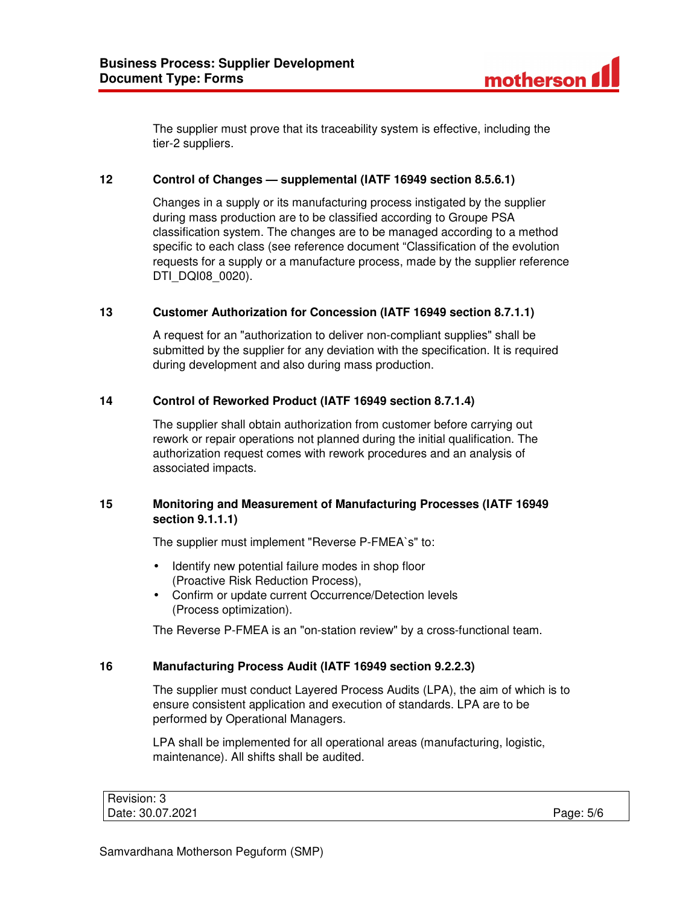

The supplier must prove that its traceability system is effective, including the tier-2 suppliers.

## **12 Control of Changes — supplemental (IATF 16949 section 8.5.6.1)**

Changes in a supply or its manufacturing process instigated by the supplier during mass production are to be classified according to Groupe PSA classification system. The changes are to be managed according to a method specific to each class (see reference document "Classification of the evolution requests for a supply or a manufacture process, made by the supplier reference DTI\_DQI08\_0020).

# **13 Customer Authorization for Concession (IATF 16949 section 8.7.1.1)**

A request for an "authorization to deliver non-compliant supplies" shall be submitted by the supplier for any deviation with the specification. It is required during development and also during mass production.

## **14 Control of Reworked Product (IATF 16949 section 8.7.1.4)**

The supplier shall obtain authorization from customer before carrying out rework or repair operations not planned during the initial qualification. The authorization request comes with rework procedures and an analysis of associated impacts.

# **15 Monitoring and Measurement of Manufacturing Processes (IATF 16949 section 9.1.1.1)**

The supplier must implement "Reverse P-FMEA`s" to:

- Identify new potential failure modes in shop floor (Proactive Risk Reduction Process),
- Confirm or update current Occurrence/Detection levels (Process optimization).

The Reverse P-FMEA is an "on-station review" by a cross-functional team.

## **16 Manufacturing Process Audit (IATF 16949 section 9.2.2.3)**

The supplier must conduct Layered Process Audits (LPA), the aim of which is to ensure consistent application and execution of standards. LPA are to be performed by Operational Managers.

LPA shall be implemented for all operational areas (manufacturing, logistic, maintenance). All shifts shall be audited.